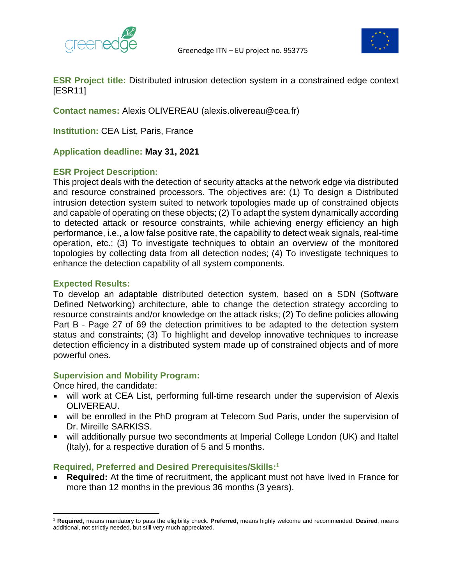



**ESR Project title:** Distributed intrusion detection system in a constrained edge context [ESR11]

**Contact names:** Alexis OLIVEREAU (alexis.olivereau@cea.fr)

**Institution:** CEA List, Paris, France

**Application deadline: May 31, 2021**

## **ESR Project Description:**

This project deals with the detection of security attacks at the network edge via distributed and resource constrained processors. The objectives are: (1) To design a Distributed intrusion detection system suited to network topologies made up of constrained objects and capable of operating on these objects; (2) To adapt the system dynamically according to detected attack or resource constraints, while achieving energy efficiency an high performance, i.e., a low false positive rate, the capability to detect weak signals, real-time operation, etc.; (3) To investigate techniques to obtain an overview of the monitored topologies by collecting data from all detection nodes; (4) To investigate techniques to enhance the detection capability of all system components.

## **Expected Results:**

To develop an adaptable distributed detection system, based on a SDN (Software Defined Networking) architecture, able to change the detection strategy according to resource constraints and/or knowledge on the attack risks; (2) To define policies allowing Part B - Page 27 of 69 the detection primitives to be adapted to the detection system status and constraints; (3) To highlight and develop innovative techniques to increase detection efficiency in a distributed system made up of constrained objects and of more powerful ones.

## **Supervision and Mobility Program:**

Once hired, the candidate:

- will work at CEA List, performing full-time research under the supervision of Alexis OLIVEREAU.
- will be enrolled in the PhD program at Telecom Sud Paris, under the supervision of Dr. Mireille SARKISS.
- will additionally pursue two secondments at Imperial College London (UK) and Italtel (Italy), for a respective duration of 5 and 5 months.

## **Required, Preferred and Desired Prerequisites/Skills: 1**

**Required:** At the time of recruitment, the applicant must not have lived in France for more than 12 months in the previous 36 months (3 years).

<sup>1</sup> **Required**, means mandatory to pass the eligibility check. **Preferred**, means highly welcome and recommended. **Desired**, means additional, not strictly needed, but still very much appreciated.